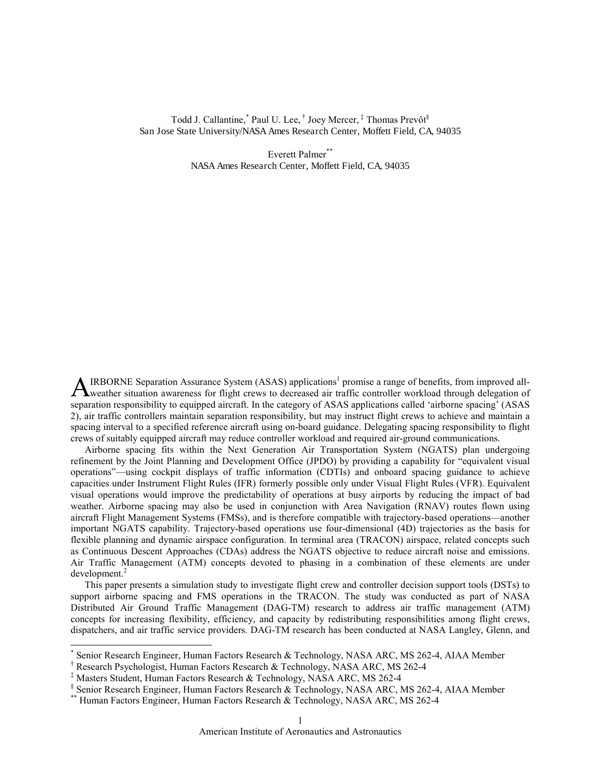## Todd J. Callantine,\* Paul U. Lee, † Joey Mercer, ‡ Thomas Prevôt§ San Jose State University/NASA Ames Research Center, Moffett Field, CA, 94035

Everett Palmer\*\* NASA Ames Research Center, Moffett Field, CA, 94035

IRBORNE Separation Assurance System (ASAS) applications<sup>1</sup> promise a range of benefits, from improved all-AIRBORNE Separation Assurance System (ASAS) applications<sup>1</sup> promise a range of benefits, from improved all-<br>weather situation awareness for flight crews to decreased air traffic controller workload through delegation of separation responsibility to equipped aircraft. In the category of ASAS applications called 'airborne spacing' (ASAS 2), air traffic controllers maintain separation responsibility, but may instruct flight crews to achieve and maintain a spacing interval to a specified reference aircraft using on-board guidance. Delegating spacing responsibility to flight crews of suitably equipped aircraft may reduce controller workload and required air-ground communications.

Airborne spacing fits within the Next Generation Air Transportation System (NGATS) plan undergoing refinement by the Joint Planning and Development Office (JPDO) by providing a capability for "equivalent visual operations"—using cockpit displays of traffic information (CDTIs) and onboard spacing guidance to achieve capacities under Instrument Flight Rules (IFR) formerly possible only under Visual Flight Rules (VFR). Equivalent visual operations would improve the predictability of operations at busy airports by reducing the impact of bad weather. Airborne spacing may also be used in conjunction with Area Navigation (RNAV) routes flown using aircraft Flight Management Systems (FMSs), and is therefore compatible with trajectory-based operations—another important NGATS capability. Trajectory-based operations use four-dimensional (4D) trajectories as the basis for flexible planning and dynamic airspace configuration. In terminal area (TRACON) airspace, related concepts such as Continuous Descent Approaches (CDAs) address the NGATS objective to reduce aircraft noise and emissions. Air Traffic Management (ATM) concepts devoted to phasing in a combination of these elements are under development.<sup>2</sup>

This paper presents a simulation study to investigate flight crew and controller decision support tools (DSTs) to support airborne spacing and FMS operations in the TRACON. The study was conducted as part of NASA Distributed Air Ground Traffic Management (DAG-TM) research to address air traffic management (ATM) concepts for increasing flexibility, efficiency, and capacity by redistributing responsibilities among flight crews, dispatchers, and air traffic service providers. DAG-TM research has been conducted at NASA Langley, Glenn, and

 $\overline{a}$ 

<sup>\*</sup> Senior Research Engineer, Human Factors Research & Technology, NASA ARC, MS 262-4, AIAA Member

<sup>†</sup> Research Psychologist, Human Factors Research & Technology, NASA ARC, MS 262-4

<sup>‡</sup> Masters Student, Human Factors Research & Technology, NASA ARC, MS 262-4

<sup>§</sup> Senior Research Engineer, Human Factors Research & Technology, NASA ARC, MS 262-4, AIAA Member

<sup>\*\*</sup> Human Factors Engineer, Human Factors Research & Technology, NASA ARC, MS 262-4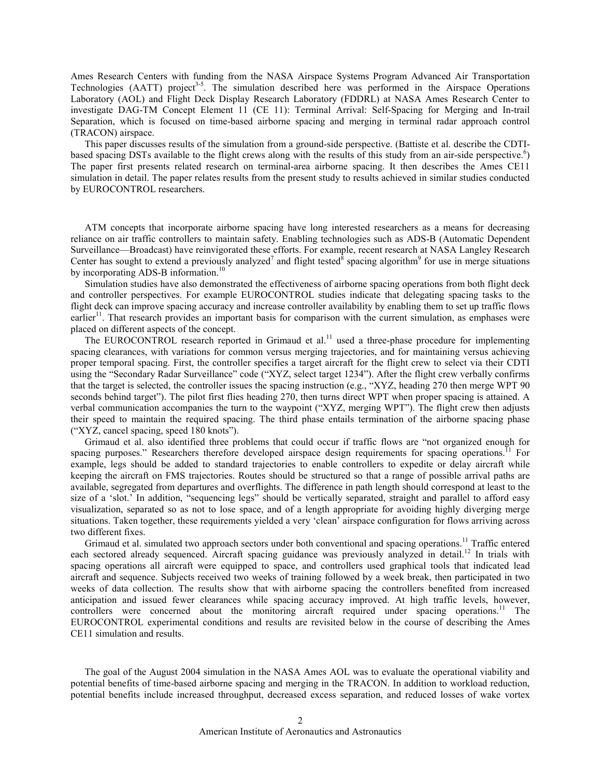Ames Research Centers with funding from the NASA Airspace Systems Program Advanced Air Transportation Technologies (AATT) project<sup>3-5</sup>. The simulation described here was performed in the Airspace Operations Laboratory (AOL) and Flight Deck Display Research Laboratory (FDDRL) at NASA Ames Research Center to investigate DAG-TM Concept Element 11 (CE 11): Terminal Arrival: Self-Spacing for Merging and In-trail Separation, which is focused on time-based airborne spacing and merging in terminal radar approach control (TRACON) airspace.

This paper discusses results of the simulation from a ground-side perspective. (Battiste et al. describe the CDTIbased spacing DSTs available to the flight crews along with the results of this study from an air-side perspective.<sup>6</sup>) The paper first presents related research on terminal-area airborne spacing. It then describes the Ames CE11 simulation in detail. The paper relates results from the present study to results achieved in similar studies conducted by EUROCONTROL researchers.

ATM concepts that incorporate airborne spacing have long interested researchers as a means for decreasing reliance on air traffic controllers to maintain safety. Enabling technologies such as ADS-B (Automatic Dependent Surveillance—Broadcast) have reinvigorated these efforts. For example, recent research at NASA Langley Research Center has sought to extend a previously analyzed<sup>7</sup> and flight tested<sup>8</sup> spacing algorithm<sup>9</sup> for use in merge situations by incorporating ADS-B information.<sup>10</sup>

Simulation studies have also demonstrated the effectiveness of airborne spacing operations from both flight deck and controller perspectives. For example EUROCONTROL studies indicate that delegating spacing tasks to the flight deck can improve spacing accuracy and increase controller availability by enabling them to set up traffic flows earlier<sup>11</sup>. That research provides an important basis for comparison with the current simulation, as emphases were placed on different aspects of the concept.

The EUROCONTROL research reported in Grimaud et al.<sup>11</sup> used a three-phase procedure for implementing spacing clearances, with variations for common versus merging trajectories, and for maintaining versus achieving proper temporal spacing. First, the controller specifies a target aircraft for the flight crew to select via their CDTI using the "Secondary Radar Surveillance" code ("XYZ, select target 1234"). After the flight crew verbally confirms that the target is selected, the controller issues the spacing instruction (e.g., "XYZ, heading 270 then merge WPT 90 seconds behind target"). The pilot first flies heading 270, then turns direct WPT when proper spacing is attained. A verbal communication accompanies the turn to the waypoint ("XYZ, merging WPT"). The flight crew then adjusts their speed to maintain the required spacing. The third phase entails termination of the airborne spacing phase ("XYZ, cancel spacing, speed 180 knots").

Grimaud et al. also identified three problems that could occur if traffic flows are "not organized enough for spacing purposes." Researchers therefore developed airspace design requirements for spacing operations.<sup>11</sup> For example, legs should be added to standard trajectories to enable controllers to expedite or delay aircraft while keeping the aircraft on FMS trajectories. Routes should be structured so that a range of possible arrival paths are available, segregated from departures and overflights. The difference in path length should correspond at least to the size of a 'slot.' In addition, "sequencing legs" should be vertically separated, straight and parallel to afford easy visualization, separated so as not to lose space, and of a length appropriate for avoiding highly diverging merge situations. Taken together, these requirements yielded a very 'clean' airspace configuration for flows arriving across two different fixes.

Grimaud et al. simulated two approach sectors under both conventional and spacing operations.<sup>11</sup> Traffic entered each sectored already sequenced. Aircraft spacing guidance was previously analyzed in detail.<sup>12</sup> In trials with spacing operations all aircraft were equipped to space, and controllers used graphical tools that indicated lead aircraft and sequence. Subjects received two weeks of training followed by a week break, then participated in two weeks of data collection. The results show that with airborne spacing the controllers benefited from increased anticipation and issued fewer clearances while spacing accuracy improved. At high traffic levels, however, controllers were concerned about the monitoring aircraft required under spacing operations.<sup>11</sup> The EUROCONTROL experimental conditions and results are revisited below in the course of describing the Ames CE11 simulation and results.

The goal of the August 2004 simulation in the NASA Ames AOL was to evaluate the operational viability and potential benefits of time-based airborne spacing and merging in the TRACON. In addition to workload reduction, potential benefits include increased throughput, decreased excess separation, and reduced losses of wake vortex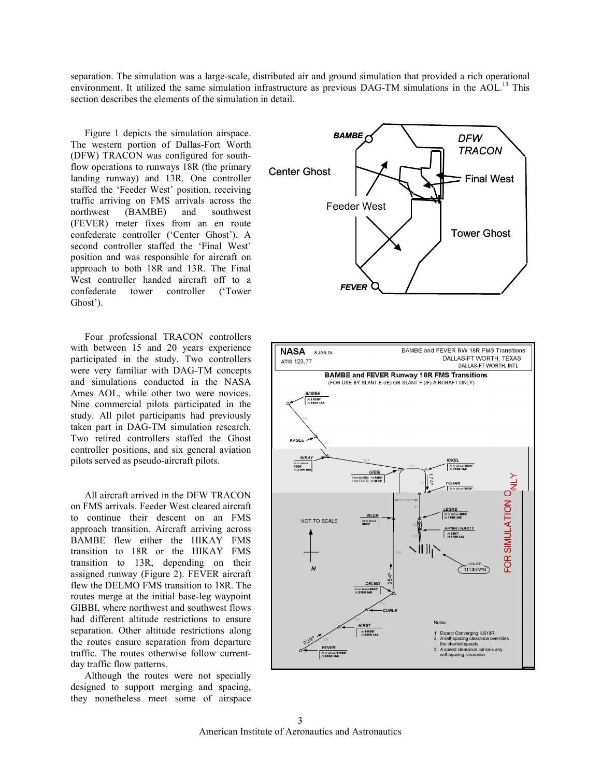separation. The simulation was a large-scale, distributed air and ground simulation that provided a rich operational environment. It utilized the same simulation infrastructure as previous DAG-TM simulations in the AOL.<sup>13</sup> This section describes the elements of the simulation in detail.

Figure 1 depicts the simulation airspace. The western portion of Dallas-Fort Worth (DFW) TRACON was configured for southflow operations to runways 18R (the primary landing runway) and 13R. One controller staffed the 'Feeder West' position, receiving traffic arriving on FMS arrivals across the northwest (BAMBE) and southwest (FEVER) meter fixes from an en route confederate controller ('Center Ghost'). A second controller staffed the 'Final West' position and was responsible for aircraft on approach to both 18R and 13R. The Final West controller handed aircraft off to a confederate tower controller ('Tower Ghost').

Four professional TRACON controllers with between 15 and 20 years experience participated in the study. Two controllers were very familiar with DAG-TM concepts and simulations conducted in the NASA Ames AOL, while other two were novices. Nine commercial pilots participated in the study. All pilot participants had previously taken part in DAG-TM simulation research. Two retired controllers staffed the Ghost controller positions, and six general aviation pilots served as pseudo-aircraft pilots.

All aircraft arrived in the DFW TRACON on FMS arrivals. Feeder West cleared aircraft to continue their descent on an FMS approach transition. Aircraft arriving across BAMBE flew either the HIKAY FMS transition to 18R or the HIKAY FMS transition to 13R, depending on their assigned runway (Figure 2). FEVER aircraft flew the DELMO FMS transition to 18R. The routes merge at the initial base-leg waypoint GIBBI, where northwest and southwest flows had different altitude restrictions to ensure separation. Other altitude restrictions along the routes ensure separation from departure traffic. The routes otherwise follow currentday traffic flow patterns.

Although the routes were not specially designed to support merging and spacing, they nonetheless meet some of airspace



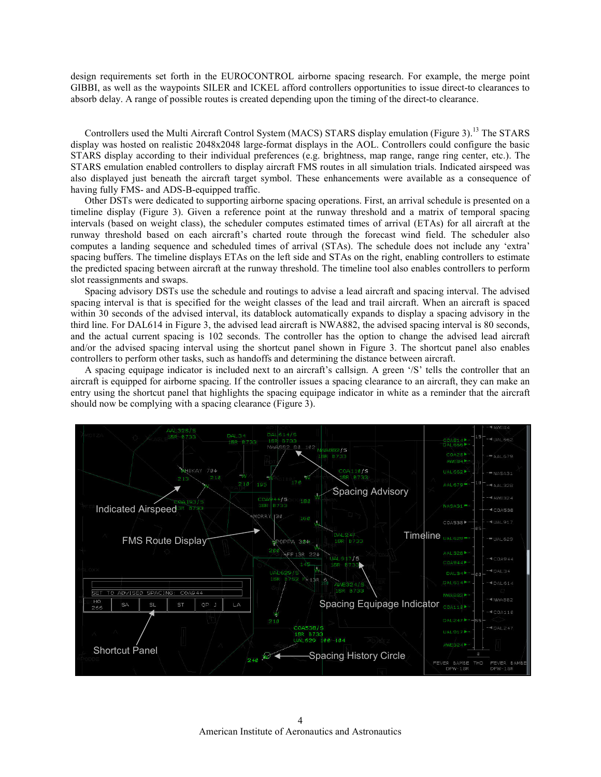design requirements set forth in the EUROCONTROL airborne spacing research. For example, the merge point GIBBI, as well as the waypoints SILER and ICKEL afford controllers opportunities to issue direct-to clearances to absorb delay. A range of possible routes is created depending upon the timing of the direct-to clearance.

Controllers used the Multi Aircraft Control System (MACS) STARS display emulation (Figure 3).<sup>13</sup> The STARS display was hosted on realistic 2048x2048 large-format displays in the AOL. Controllers could configure the basic STARS display according to their individual preferences (e.g. brightness, map range, range ring center, etc.). The STARS emulation enabled controllers to display aircraft FMS routes in all simulation trials. Indicated airspeed was also displayed just beneath the aircraft target symbol. These enhancements were available as a consequence of having fully FMS- and ADS-B-equipped traffic.

Other DSTs were dedicated to supporting airborne spacing operations. First, an arrival schedule is presented on a timeline display (Figure 3). Given a reference point at the runway threshold and a matrix of temporal spacing intervals (based on weight class), the scheduler computes estimated times of arrival (ETAs) for all aircraft at the runway threshold based on each aircraft's charted route through the forecast wind field. The scheduler also computes a landing sequence and scheduled times of arrival (STAs). The schedule does not include any 'extra' spacing buffers. The timeline displays ETAs on the left side and STAs on the right, enabling controllers to estimate the predicted spacing between aircraft at the runway threshold. The timeline tool also enables controllers to perform slot reassignments and swaps.

Spacing advisory DSTs use the schedule and routings to advise a lead aircraft and spacing interval. The advised spacing interval is that is specified for the weight classes of the lead and trail aircraft. When an aircraft is spaced within 30 seconds of the advised interval, its datablock automatically expands to display a spacing advisory in the third line. For DAL614 in Figure 3, the advised lead aircraft is NWA882, the advised spacing interval is 80 seconds, and the actual current spacing is 102 seconds. The controller has the option to change the advised lead aircraft and/or the advised spacing interval using the shortcut panel shown in Figure 3. The shortcut panel also enables controllers to perform other tasks, such as handoffs and determining the distance between aircraft.

A spacing equipage indicator is included next to an aircraft's callsign. A green '/S' tells the controller that an aircraft is equipped for airborne spacing. If the controller issues a spacing clearance to an aircraft, they can make an entry using the shortcut panel that highlights the spacing equipage indicator in white as a reminder that the aircraft should now be complying with a spacing clearance (Figure 3).

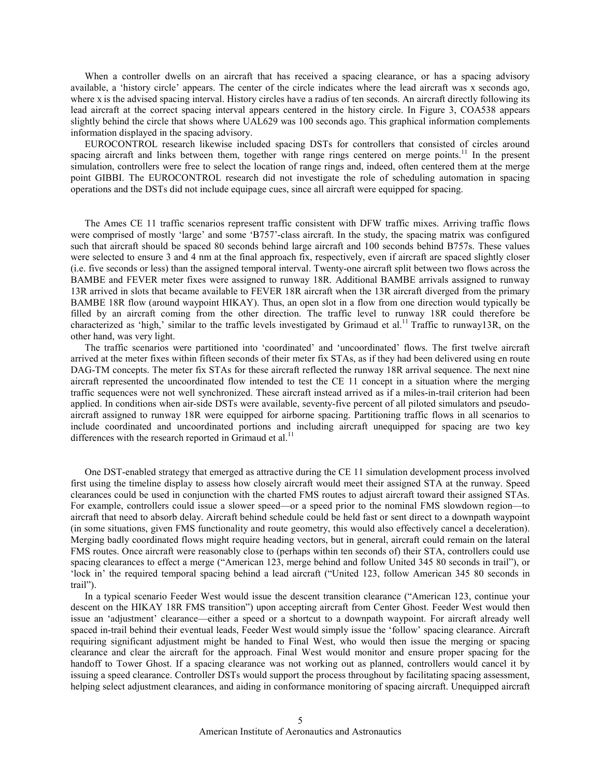When a controller dwells on an aircraft that has received a spacing clearance, or has a spacing advisory available, a 'history circle' appears. The center of the circle indicates where the lead aircraft was x seconds ago, where x is the advised spacing interval. History circles have a radius of ten seconds. An aircraft directly following its lead aircraft at the correct spacing interval appears centered in the history circle. In Figure 3, COA538 appears slightly behind the circle that shows where UAL629 was 100 seconds ago. This graphical information complements information displayed in the spacing advisory.

EUROCONTROL research likewise included spacing DSTs for controllers that consisted of circles around spacing aircraft and links between them, together with range rings centered on merge points.<sup>11</sup> In the present simulation, controllers were free to select the location of range rings and, indeed, often centered them at the merge point GIBBI. The EUROCONTROL research did not investigate the role of scheduling automation in spacing operations and the DSTs did not include equipage cues, since all aircraft were equipped for spacing.

The Ames CE 11 traffic scenarios represent traffic consistent with DFW traffic mixes. Arriving traffic flows were comprised of mostly 'large' and some 'B757'-class aircraft. In the study, the spacing matrix was configured such that aircraft should be spaced 80 seconds behind large aircraft and 100 seconds behind B757s. These values were selected to ensure 3 and 4 nm at the final approach fix, respectively, even if aircraft are spaced slightly closer (i.e. five seconds or less) than the assigned temporal interval. Twenty-one aircraft split between two flows across the BAMBE and FEVER meter fixes were assigned to runway 18R. Additional BAMBE arrivals assigned to runway 13R arrived in slots that became available to FEVER 18R aircraft when the 13R aircraft diverged from the primary BAMBE 18R flow (around waypoint HIKAY). Thus, an open slot in a flow from one direction would typically be filled by an aircraft coming from the other direction. The traffic level to runway 18R could therefore be characterized as 'high,' similar to the traffic levels investigated by Grimaud et al.<sup>11</sup> Traffic to runway13R, on the other hand, was very light.

The traffic scenarios were partitioned into 'coordinated' and 'uncoordinated' flows. The first twelve aircraft arrived at the meter fixes within fifteen seconds of their meter fix STAs, as if they had been delivered using en route DAG-TM concepts. The meter fix STAs for these aircraft reflected the runway 18R arrival sequence. The next nine aircraft represented the uncoordinated flow intended to test the CE 11 concept in a situation where the merging traffic sequences were not well synchronized. These aircraft instead arrived as if a miles-in-trail criterion had been applied. In conditions when air-side DSTs were available, seventy-five percent of all piloted simulators and pseudoaircraft assigned to runway 18R were equipped for airborne spacing. Partitioning traffic flows in all scenarios to include coordinated and uncoordinated portions and including aircraft unequipped for spacing are two key differences with the research reported in Grimaud et al.<sup>11</sup>

One DST-enabled strategy that emerged as attractive during the CE 11 simulation development process involved first using the timeline display to assess how closely aircraft would meet their assigned STA at the runway. Speed clearances could be used in conjunction with the charted FMS routes to adjust aircraft toward their assigned STAs. For example, controllers could issue a slower speed—or a speed prior to the nominal FMS slowdown region—to aircraft that need to absorb delay. Aircraft behind schedule could be held fast or sent direct to a downpath waypoint (in some situations, given FMS functionality and route geometry, this would also effectively cancel a deceleration). Merging badly coordinated flows might require heading vectors, but in general, aircraft could remain on the lateral FMS routes. Once aircraft were reasonably close to (perhaps within ten seconds of) their STA, controllers could use spacing clearances to effect a merge ("American 123, merge behind and follow United 345 80 seconds in trail"), or 'lock in' the required temporal spacing behind a lead aircraft ("United 123, follow American 345 80 seconds in trail").

In a typical scenario Feeder West would issue the descent transition clearance ("American 123, continue your descent on the HIKAY 18R FMS transition") upon accepting aircraft from Center Ghost. Feeder West would then issue an 'adjustment' clearance—either a speed or a shortcut to a downpath waypoint. For aircraft already well spaced in-trail behind their eventual leads, Feeder West would simply issue the 'follow' spacing clearance. Aircraft requiring significant adjustment might be handed to Final West, who would then issue the merging or spacing clearance and clear the aircraft for the approach. Final West would monitor and ensure proper spacing for the handoff to Tower Ghost. If a spacing clearance was not working out as planned, controllers would cancel it by issuing a speed clearance. Controller DSTs would support the process throughout by facilitating spacing assessment, helping select adjustment clearances, and aiding in conformance monitoring of spacing aircraft. Unequipped aircraft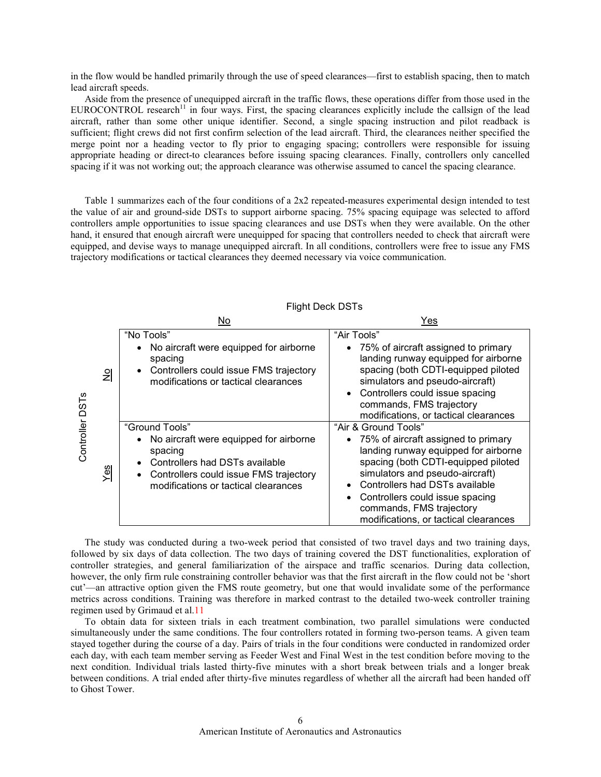in the flow would be handled primarily through the use of speed clearances—first to establish spacing, then to match lead aircraft speeds.

Aside from the presence of unequipped aircraft in the traffic flows, these operations differ from those used in the EUROCONTROL research<sup>11</sup> in four ways. First, the spacing clearances explicitly include the callsign of the lead aircraft, rather than some other unique identifier. Second, a single spacing instruction and pilot readback is sufficient; flight crews did not first confirm selection of the lead aircraft. Third, the clearances neither specified the merge point nor a heading vector to fly prior to engaging spacing; controllers were responsible for issuing appropriate heading or direct-to clearances before issuing spacing clearances. Finally, controllers only cancelled spacing if it was not working out; the approach clearance was otherwise assumed to cancel the spacing clearance.

Table 1 summarizes each of the four conditions of a 2x2 repeated-measures experimental design intended to test the value of air and ground-side DSTs to support airborne spacing. 75% spacing equipage was selected to afford controllers ample opportunities to issue spacing clearances and use DSTs when they were available. On the other hand, it ensured that enough aircraft were unequipped for spacing that controllers needed to check that aircraft were equipped, and devise ways to manage unequipped aircraft. In all conditions, controllers were free to issue any FMS trajectory modifications or tactical clearances they deemed necessary via voice communication.

|                  |               | No.                                                                                                                                                                                     | Yes                                                                                                                                                                                                                                                                                                                       |
|------------------|---------------|-----------------------------------------------------------------------------------------------------------------------------------------------------------------------------------------|---------------------------------------------------------------------------------------------------------------------------------------------------------------------------------------------------------------------------------------------------------------------------------------------------------------------------|
| DST <sub>s</sub> | $\frac{1}{2}$ | "No Tools"<br>No aircraft were equipped for airborne<br>spacing<br>Controllers could issue FMS trajectory<br>modifications or tactical clearances                                       | "Air Tools"<br>• 75% of aircraft assigned to primary<br>landing runway equipped for airborne<br>spacing (both CDTI-equipped piloted<br>simulators and pseudo-aircraft)<br>Controllers could issue spacing<br>commands, FMS trajectory<br>modifications, or tactical clearances                                            |
| Controller       | ဖာ<br>قح      | "Ground Tools"<br>No aircraft were equipped for airborne<br>spacing<br>Controllers had DSTs available<br>Controllers could issue FMS trajectory<br>modifications or tactical clearances | "Air & Ground Tools"<br>• 75% of aircraft assigned to primary<br>landing runway equipped for airborne<br>spacing (both CDTI-equipped piloted<br>simulators and pseudo-aircraft)<br>Controllers had DSTs available<br>Controllers could issue spacing<br>commands, FMS trajectory<br>modifications, or tactical clearances |

## Flight Deck DSTs

The study was conducted during a two-week period that consisted of two travel days and two training days, followed by six days of data collection. The two days of training covered the DST functionalities, exploration of controller strategies, and general familiarization of the airspace and traffic scenarios. During data collection, however, the only firm rule constraining controller behavior was that the first aircraft in the flow could not be 'short cut'—an attractive option given the FMS route geometry, but one that would invalidate some of the performance metrics across conditions. Training was therefore in marked contrast to the detailed two-week controller training regimen used by Grimaud et al.11

To obtain data for sixteen trials in each treatment combination, two parallel simulations were conducted simultaneously under the same conditions. The four controllers rotated in forming two-person teams. A given team stayed together during the course of a day. Pairs of trials in the four conditions were conducted in randomized order each day, with each team member serving as Feeder West and Final West in the test condition before moving to the next condition. Individual trials lasted thirty-five minutes with a short break between trials and a longer break between conditions. A trial ended after thirty-five minutes regardless of whether all the aircraft had been handed off to Ghost Tower.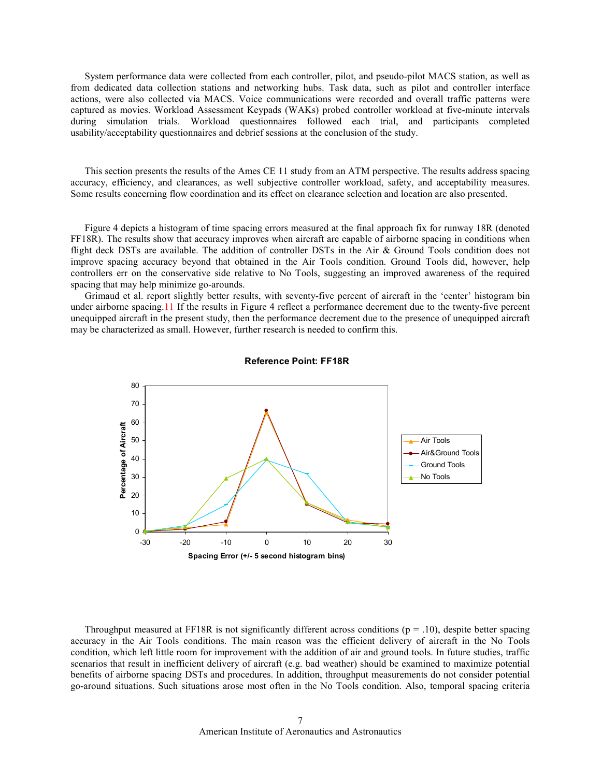System performance data were collected from each controller, pilot, and pseudo-pilot MACS station, as well as from dedicated data collection stations and networking hubs. Task data, such as pilot and controller interface actions, were also collected via MACS. Voice communications were recorded and overall traffic patterns were captured as movies. Workload Assessment Keypads (WAKs) probed controller workload at five-minute intervals during simulation trials. Workload questionnaires followed each trial, and participants completed usability/acceptability questionnaires and debrief sessions at the conclusion of the study.

This section presents the results of the Ames CE 11 study from an ATM perspective. The results address spacing accuracy, efficiency, and clearances, as well subjective controller workload, safety, and acceptability measures. Some results concerning flow coordination and its effect on clearance selection and location are also presented.

Figure 4 depicts a histogram of time spacing errors measured at the final approach fix for runway 18R (denoted FF18R). The results show that accuracy improves when aircraft are capable of airborne spacing in conditions when flight deck DSTs are available. The addition of controller DSTs in the Air & Ground Tools condition does not improve spacing accuracy beyond that obtained in the Air Tools condition. Ground Tools did, however, help controllers err on the conservative side relative to No Tools, suggesting an improved awareness of the required spacing that may help minimize go-arounds.

Grimaud et al. report slightly better results, with seventy-five percent of aircraft in the 'center' histogram bin under airborne spacing.11 If the results in Figure 4 reflect a performance decrement due to the twenty-five percent unequipped aircraft in the present study, then the performance decrement due to the presence of unequipped aircraft may be characterized as small. However, further research is needed to confirm this.



Reference Point: FF18R

Throughput measured at FF18R is not significantly different across conditions ( $p = .10$ ), despite better spacing accuracy in the Air Tools conditions. The main reason was the efficient delivery of aircraft in the No Tools condition, which left little room for improvement with the addition of air and ground tools. In future studies, traffic scenarios that result in inefficient delivery of aircraft (e.g. bad weather) should be examined to maximize potential benefits of airborne spacing DSTs and procedures. In addition, throughput measurements do not consider potential go-around situations. Such situations arose most often in the No Tools condition. Also, temporal spacing criteria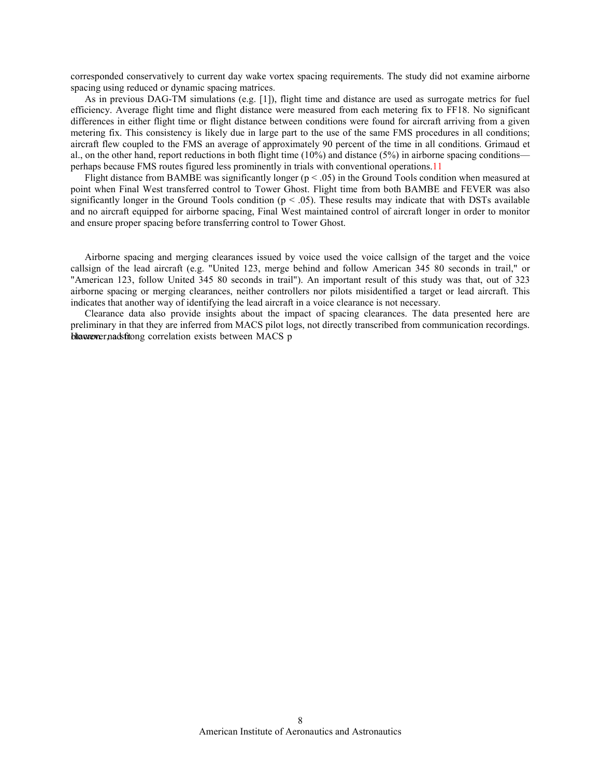corresponded conservatively to current day wake vortex spacing requirements. The study did not examine airborne spacing using reduced or dynamic spacing matrices.

As in previous DAG-TM simulations (e.g. [1]), flight time and distance are used as surrogate metrics for fuel efficiency. Average flight time and flight distance were measured from each metering fix to FF18. No significant differences in either flight time or flight distance between conditions were found for aircraft arriving from a given metering fix. This consistency is likely due in large part to the use of the same FMS procedures in all conditions; aircraft flew coupled to the FMS an average of approximately 90 percent of the time in all conditions. Grimaud et al., on the other hand, report reductions in both flight time  $(10\%)$  and distance  $(5\%)$  in airborne spacing conditions perhaps because FMS routes figured less prominently in trials with conventional operations.11

Flight distance from BAMBE was significantly longer ( $p < .05$ ) in the Ground Tools condition when measured at point when Final West transferred control to Tower Ghost. Flight time from both BAMBE and FEVER was also significantly longer in the Ground Tools condition ( $p < .05$ ). These results may indicate that with DSTs available and no aircraft equipped for airborne spacing, Final West maintained control of aircraft longer in order to monitor and ensure proper spacing before transferring control to Tower Ghost.

Airborne spacing and merging clearances issued by voice used the voice callsign of the target and the voice callsign of the lead aircraft (e.g. "United 123, merge behind and follow American 345 80 seconds in trail," or "American 123, follow United 345 80 seconds in trail"). An important result of this study was that, out of 323 airborne spacing or merging clearances, neither controllers nor pilots misidentified a target or lead aircraft. This indicates that another way of identifying the lead aircraft in a voice clearance is not necessary.

Clearance data also provide insights about the impact of spacing clearances. The data presented here are preliminary in that they are inferred from MACS pilot logs, not directly transcribed from communication recordings. blawever, nadsftong correlation exists between MACS p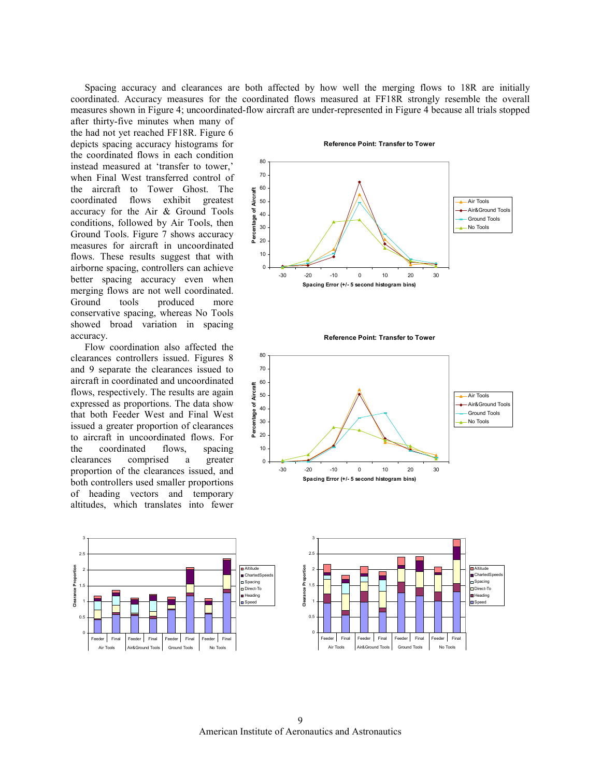Spacing accuracy and clearances are both affected by how well the merging flows to 18R are initially coordinated. Accuracy measures for the coordinated flows measured at FF18R strongly resemble the overall measures shown in Figure 4; uncoordinated-flow aircraft are under-represented in Figure 4 because all trials stopped

after thirty-five minutes when many of the had not yet reached FF18R. Figure 6 depicts spacing accuracy histograms for the coordinated flows in each condition instead measured at 'transfer to tower,' when Final West transferred control of the aircraft to Tower Ghost. The coordinated flows exhibit greatest accuracy for the Air & Ground Tools conditions, followed by Air Tools, then Ground Tools. Figure 7 shows accuracy measures for aircraft in uncoordinated flows. These results suggest that with airborne spacing, controllers can achieve better spacing accuracy even when merging flows are not well coordinated. Ground tools produced more conservative spacing, whereas No Tools showed broad variation in spacing accuracy.

Flow coordination also affected the clearances controllers issued. Figures 8 and 9 separate the clearances issued to aircraft in coordinated and uncoordinated flows, respectively. The results are again expressed as proportions. The data show that both Feeder West and Final West issued a greater proportion of clearances to aircraft in uncoordinated flows. For the coordinated flows, spacing clearances comprised a greater proportion of the clearances issued, and both controllers used smaller proportions of heading vectors and temporary altitudes, which translates into fewer

Reference Point: Transfer to Tower



Reference Point: Transfer to Tower



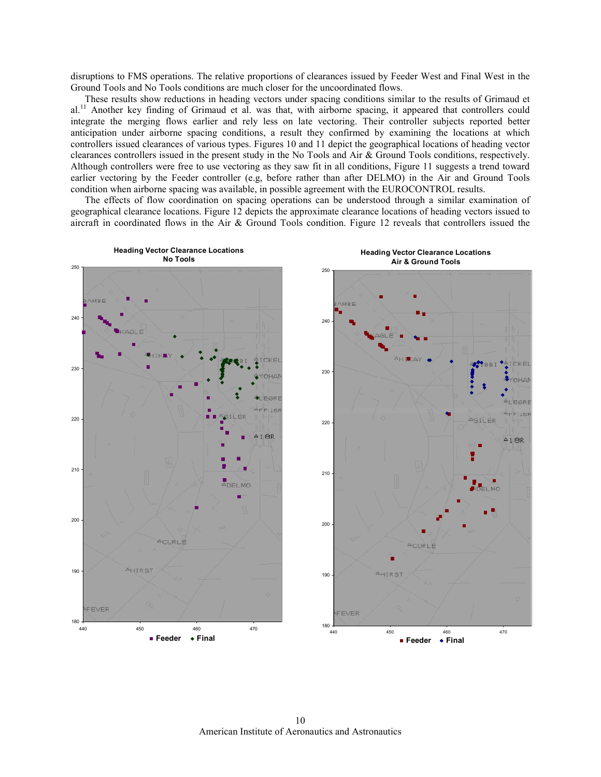disruptions to FMS operations. The relative proportions of clearances issued by Feeder West and Final West in the Ground Tools and No Tools conditions are much closer for the uncoordinated flows.

These results show reductions in heading vectors under spacing conditions similar to the results of Grimaud et al.<sup>11</sup> Another key finding of Grimaud et al. was that, with airborne spacing, it appeared that controllers could integrate the merging flows earlier and rely less on late vectoring. Their controller subjects reported better anticipation under airborne spacing conditions, a result they confirmed by examining the locations at which controllers issued clearances of various types. Figures 10 and 11 depict the geographical locations of heading vector clearances controllers issued in the present study in the No Tools and Air & Ground Tools conditions, respectively. Although controllers were free to use vectoring as they saw fit in all conditions, Figure 11 suggests a trend toward earlier vectoring by the Feeder controller (e.g, before rather than after DELMO) in the Air and Ground Tools condition when airborne spacing was available, in possible agreement with the EUROCONTROL results.

The effects of flow coordination on spacing operations can be understood through a similar examination of geographical clearance locations. Figure 12 depicts the approximate clearance locations of heading vectors issued to aircraft in coordinated flows in the Air & Ground Tools condition. Figure 12 reveals that controllers issued the



American Institute of Aeronautics and Astronautics 10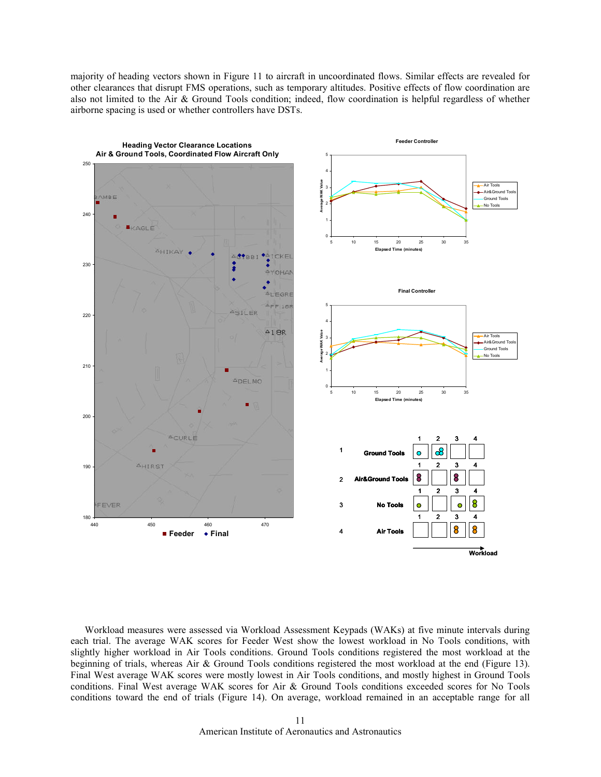majority of heading vectors shown in Figure 11 to aircraft in uncoordinated flows. Similar effects are revealed for other clearances that disrupt FMS operations, such as temporary altitudes. Positive effects of flow coordination are also not limited to the Air & Ground Tools condition; indeed, flow coordination is helpful regardless of whether airborne spacing is used or whether controllers have DSTs.



Workload measures were assessed via Workload Assessment Keypads (WAKs) at five minute intervals during each trial. The average WAK scores for Feeder West show the lowest workload in No Tools conditions, with slightly higher workload in Air Tools conditions. Ground Tools conditions registered the most workload at the beginning of trials, whereas Air & Ground Tools conditions registered the most workload at the end (Figure 13). Final West average WAK scores were mostly lowest in Air Tools conditions, and mostly highest in Ground Tools conditions. Final West average WAK scores for Air & Ground Tools conditions exceeded scores for No Tools conditions toward the end of trials (Figure 14). On average, workload remained in an acceptable range for all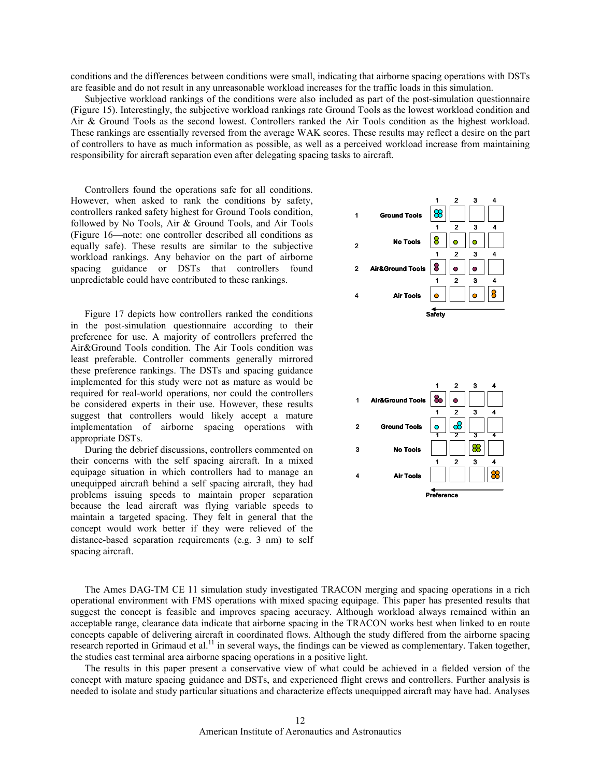conditions and the differences between conditions were small, indicating that airborne spacing operations with DSTs are feasible and do not result in any unreasonable workload increases for the traffic loads in this simulation.

Subjective workload rankings of the conditions were also included as part of the post-simulation questionnaire (Figure 15). Interestingly, the subjective workload rankings rate Ground Tools as the lowest workload condition and Air & Ground Tools as the second lowest. Controllers ranked the Air Tools condition as the highest workload. These rankings are essentially reversed from the average WAK scores. These results may reflect a desire on the part of controllers to have as much information as possible, as well as a perceived workload increase from maintaining responsibility for aircraft separation even after delegating spacing tasks to aircraft.

Controllers found the operations safe for all conditions. However, when asked to rank the conditions by safety, controllers ranked safety highest for Ground Tools condition, followed by No Tools, Air & Ground Tools, and Air Tools (Figure 16—note: one controller described all conditions as equally safe). These results are similar to the subjective workload rankings. Any behavior on the part of airborne spacing guidance or DSTs that controllers found unpredictable could have contributed to these rankings.

Figure 17 depicts how controllers ranked the conditions in the post-simulation questionnaire according to their preference for use. A majority of controllers preferred the Air&Ground Tools condition. The Air Tools condition was least preferable. Controller comments generally mirrored these preference rankings. The DSTs and spacing guidance implemented for this study were not as mature as would be required for real-world operations, nor could the controllers be considered experts in their use. However, these results suggest that controllers would likely accept a mature implementation of airborne spacing operations with appropriate DSTs.

During the debrief discussions, controllers commented on their concerns with the self spacing aircraft. In a mixed equipage situation in which controllers had to manage an unequipped aircraft behind a self spacing aircraft, they had problems issuing speeds to maintain proper separation because the lead aircraft was flying variable speeds to maintain a targeted spacing. They felt in general that the concept would work better if they were relieved of the distance-based separation requirements (e.g. 3 nm) to self spacing aircraft.



The Ames DAG-TM CE 11 simulation study investigated TRACON merging and spacing operations in a rich operational environment with FMS operations with mixed spacing equipage. This paper has presented results that suggest the concept is feasible and improves spacing accuracy. Although workload always remained within an acceptable range, clearance data indicate that airborne spacing in the TRACON works best when linked to en route concepts capable of delivering aircraft in coordinated flows. Although the study differed from the airborne spacing research reported in Grimaud et al.<sup>11</sup> in several ways, the findings can be viewed as complementary. Taken together, the studies cast terminal area airborne spacing operations in a positive light.

The results in this paper present a conservative view of what could be achieved in a fielded version of the concept with mature spacing guidance and DSTs, and experienced flight crews and controllers. Further analysis is needed to isolate and study particular situations and characterize effects unequipped aircraft may have had. Analyses